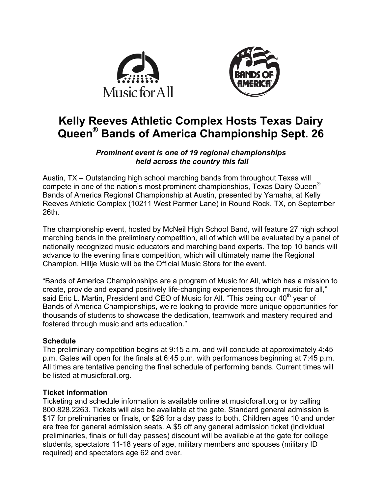



# **Kelly Reeves Athletic Complex Hosts Texas Dairy Queen® Bands of America Championship Sept. 26**

## *Prominent event is one of 19 regional championships held across the country this fall*

Austin, TX – Outstanding high school marching bands from throughout Texas will compete in one of the nation's most prominent championships, Texas Dairy Queen® Bands of America Regional Championship at Austin, presented by Yamaha, at Kelly Reeves Athletic Complex (10211 West Parmer Lane) in Round Rock, TX, on September 26th.

The championship event, hosted by McNeil High School Band, will feature 27 high school marching bands in the preliminary competition, all of which will be evaluated by a panel of nationally recognized music educators and marching band experts. The top 10 bands will advance to the evening finals competition, which will ultimately name the Regional Champion. Hillje Music will be the Official Music Store for the event.

"Bands of America Championships are a program of Music for All, which has a mission to create, provide and expand positively life-changing experiences through music for all," said Eric L. Martin, President and CEO of Music for All. "This being our  $40<sup>th</sup>$  year of Bands of America Championships, we're looking to provide more unique opportunities for thousands of students to showcase the dedication, teamwork and mastery required and fostered through music and arts education."

## **Schedule**

The preliminary competition begins at 9:15 a.m. and will conclude at approximately 4:45 p.m. Gates will open for the finals at 6:45 p.m. with performances beginning at 7:45 p.m. All times are tentative pending the final schedule of performing bands. Current times will be listed at musicforall.org.

## **Ticket information**

Ticketing and schedule information is available online at musicforall.org or by calling 800.828.2263. Tickets will also be available at the gate. Standard general admission is \$17 for preliminaries or finals, or \$26 for a day pass to both. Children ages 10 and under are free for general admission seats. A \$5 off any general admission ticket (individual preliminaries, finals or full day passes) discount will be available at the gate for college students, spectators 11-18 years of age, military members and spouses (military ID required) and spectators age 62 and over.